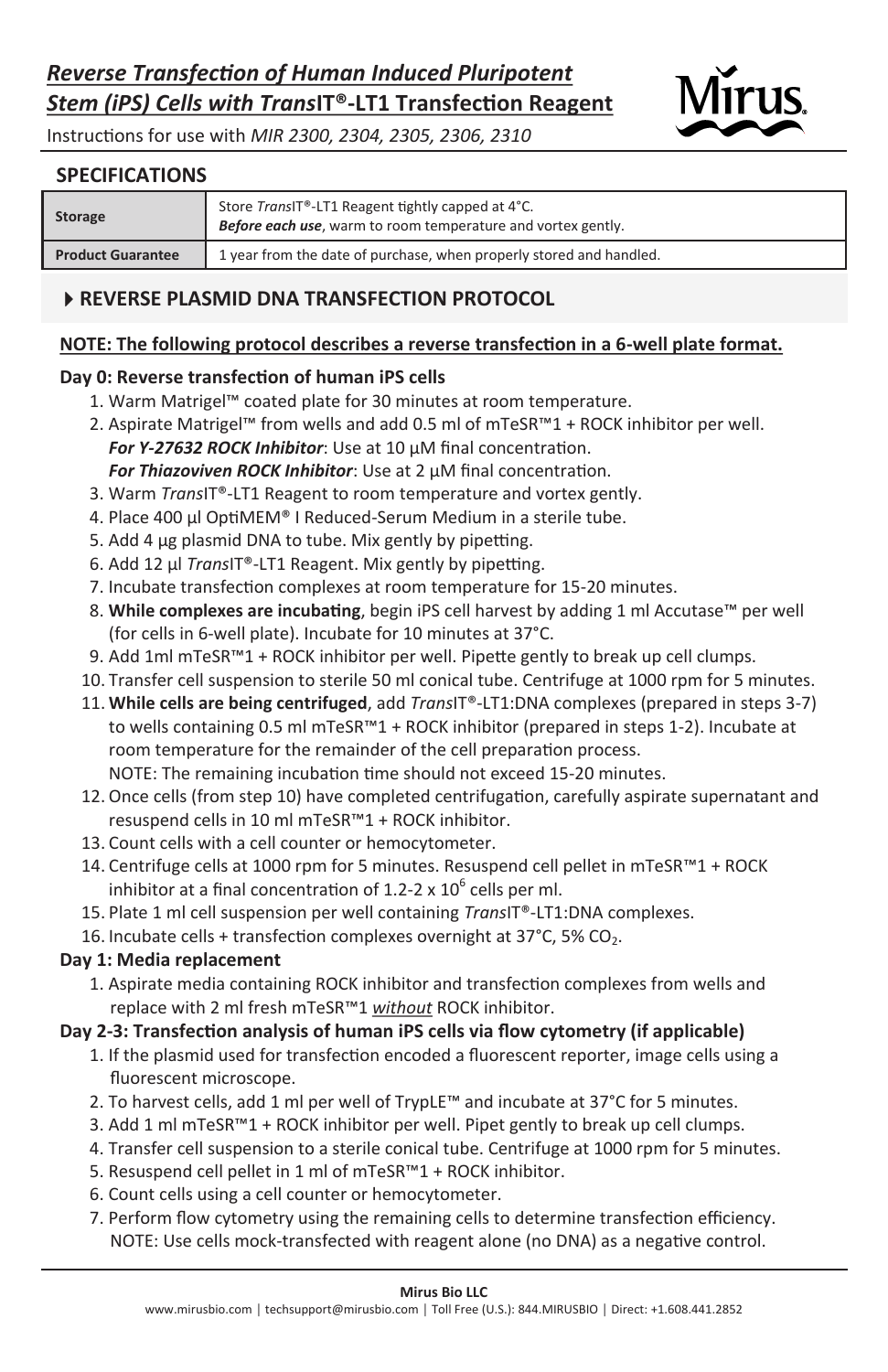

Instructions for use with *MIR 2300, 2304, 2305, 2306, 2310* 

## **SPECIFICATIONS**

| <b>Storage</b>           | Store TransIT®-LT1 Reagent tightly capped at 4°C.<br>Before each use, warm to room temperature and vortex gently. |
|--------------------------|-------------------------------------------------------------------------------------------------------------------|
| <b>Product Guarantee</b> | 1 year from the date of purchase, when properly stored and handled.                                               |

## **REVERSE PLASMID DNA TRANSFECTION PROTOCOL**

## **NOTE: The following protocol describes a reverse transfection in a 6-well plate format.**

## **Day 0: Reverse transfection of human iPS cells**

- 1. Warm Matrigel™ coated plate for 30 minutes at room temperature.
- 2. Aspirate Matrigel™ from wells and add 0.5 ml of mTeSR™1 + ROCK inhibitor per well.
- *For Y-27632 ROCK Inhibitor*: Use at 10 µM final concentration. *For Thiazoviven ROCK Inhibitor*: Use at 2 µM final concentration.
- 3. Warm *Trans*IT®-LT1 Reagent to room temperature and vortex gently.
- 4. Place 400 µl OptiMEM® I Reduced-Serum Medium in a sterile tube.
- 5. Add 4 µg plasmid DNA to tube. Mix gently by pipetting.
- 6. Add 12 µl *Trans*IT®-LT1 Reagent. Mix gently by pipetting.
- 7. Incubate transfection complexes at room temperature for 15-20 minutes.
- 8. **While complexes are incubating**, begin iPS cell harvest by adding 1 ml Accutase™ per well (for cells in 6-well plate). Incubate for 10 minutes at 37°C.
- 9. Add 1ml mTeSR™1 + ROCK inhibitor per well. Pipette gently to break up cell clumps.
- 10. Transfer cell suspension to sterile 50 ml conical tube. Centrifuge at 1000 rpm for 5 minutes.
- 11. **While cells are being centrifuged**, add *Trans*IT®-LT1:DNA complexes (prepared in steps 3-7) to wells containing 0.5 ml mTeSR™1 + ROCK inhibitor (prepared in steps 1-2). Incubate at room temperature for the remainder of the cell preparation process. NOTE: The remaining incubation time should not exceed 15-20 minutes.
- 12. Once cells (from step 10) have completed centrifugation, carefully aspirate supernatant and resuspend cells in 10 ml mTeSR™1 + ROCK inhibitor.
- 13. Count cells with a cell counter or hemocytometer.
- 14. Centrifuge cells at 1000 rpm for 5 minutes. Resuspend cell pellet in mTeSR™1 + ROCK inhibitor at a final concentration of 1.2-2 x  $10^6$  cells per ml.
- 15. Plate 1 ml cell suspension per well containing *Trans*IT®-LT1:DNA complexes.

#### 16. Incubate cells + transfection complexes overnight at  $37^{\circ}$ C, 5% CO<sub>2</sub>.

#### **Day 1: Media replacement**

1. Aspirate media containing ROCK inhibitor and transfection complexes from wells and replace with 2 ml fresh mTeSR™1 *without* ROCK inhibitor.

### **Day 2-3: Transfection analysis of human iPS cells via flow cytometry (if applicable)**

- 1. If the plasmid used for transfection encoded a fluorescent reporter, image cells using a fluorescent microscope.
- 2. To harvest cells, add 1 ml per well of TrypLE™ and incubate at 37°C for 5 minutes.
- 3. Add 1 ml mTeSR™1 + ROCK inhibitor per well. Pipet gently to break up cell clumps.
- 4. Transfer cell suspension to a sterile conical tube. Centrifuge at 1000 rpm for 5 minutes.
- 5. Resuspend cell pellet in 1 ml of mTeSR™1 + ROCK inhibitor.
- 6. Count cells using a cell counter or hemocytometer.
- 7. Perform flow cytometry using the remaining cells to determine transfection efficiency. NOTE: Use cells mock-transfected with reagent alone (no DNA) as a negative control.

#### **Mirus Bio LLC**